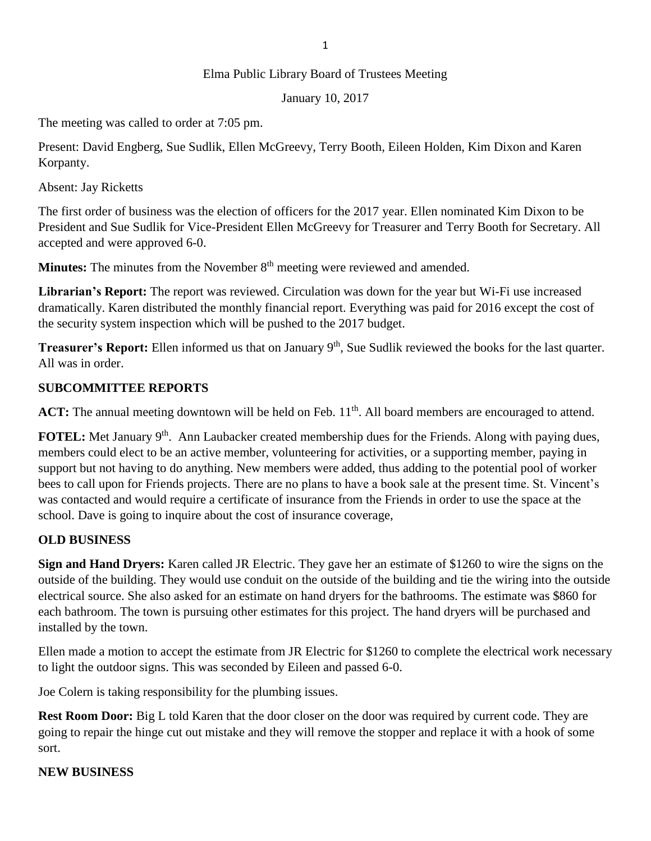#### 1

#### Elma Public Library Board of Trustees Meeting

January 10, 2017

The meeting was called to order at 7:05 pm.

Present: David Engberg, Sue Sudlik, Ellen McGreevy, Terry Booth, Eileen Holden, Kim Dixon and Karen Korpanty.

Absent: Jay Ricketts

The first order of business was the election of officers for the 2017 year. Ellen nominated Kim Dixon to be President and Sue Sudlik for Vice-President Ellen McGreevy for Treasurer and Terry Booth for Secretary. All accepted and were approved 6-0.

**Minutes:** The minutes from the November 8<sup>th</sup> meeting were reviewed and amended.

**Librarian's Report:** The report was reviewed. Circulation was down for the year but Wi-Fi use increased dramatically. Karen distributed the monthly financial report. Everything was paid for 2016 except the cost of the security system inspection which will be pushed to the 2017 budget.

**Treasurer's Report:** Ellen informed us that on January 9<sup>th</sup>, Sue Sudlik reviewed the books for the last quarter. All was in order.

#### **SUBCOMMITTEE REPORTS**

ACT: The annual meeting downtown will be held on Feb. 11<sup>th</sup>. All board members are encouraged to attend.

**FOTEL:** Met January 9<sup>th</sup>. Ann Laubacker created membership dues for the Friends. Along with paying dues, members could elect to be an active member, volunteering for activities, or a supporting member, paying in support but not having to do anything. New members were added, thus adding to the potential pool of worker bees to call upon for Friends projects. There are no plans to have a book sale at the present time. St. Vincent's was contacted and would require a certificate of insurance from the Friends in order to use the space at the school. Dave is going to inquire about the cost of insurance coverage,

# **OLD BUSINESS**

**Sign and Hand Dryers:** Karen called JR Electric. They gave her an estimate of \$1260 to wire the signs on the outside of the building. They would use conduit on the outside of the building and tie the wiring into the outside electrical source. She also asked for an estimate on hand dryers for the bathrooms. The estimate was \$860 for each bathroom. The town is pursuing other estimates for this project. The hand dryers will be purchased and installed by the town.

Ellen made a motion to accept the estimate from JR Electric for \$1260 to complete the electrical work necessary to light the outdoor signs. This was seconded by Eileen and passed 6-0.

Joe Colern is taking responsibility for the plumbing issues.

**Rest Room Door:** Big L told Karen that the door closer on the door was required by current code. They are going to repair the hinge cut out mistake and they will remove the stopper and replace it with a hook of some sort.

# **NEW BUSINESS**